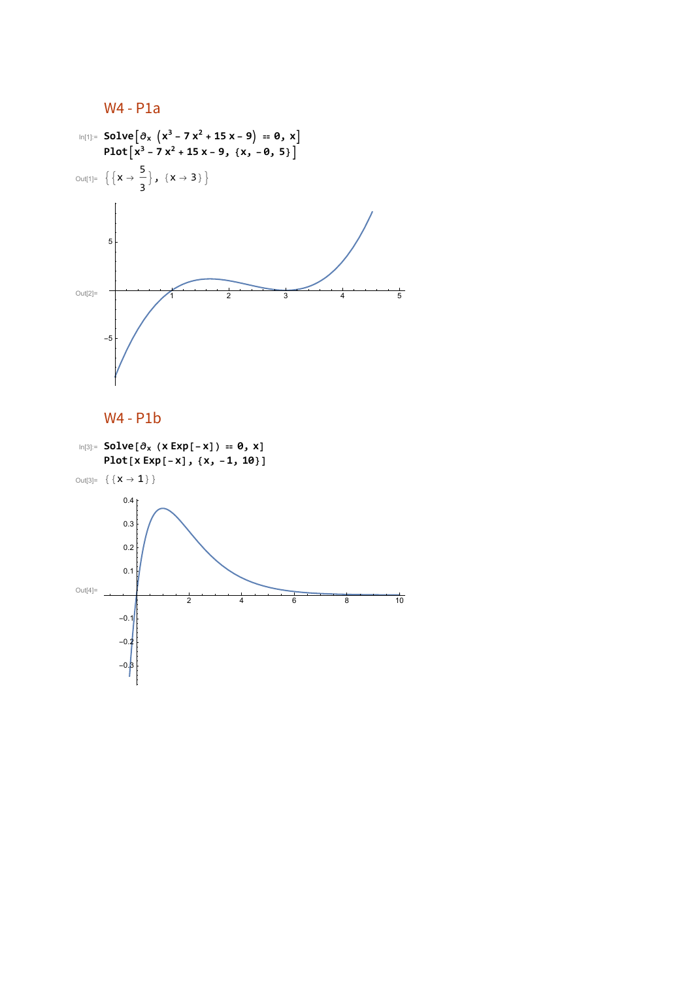

## W4 - P1b

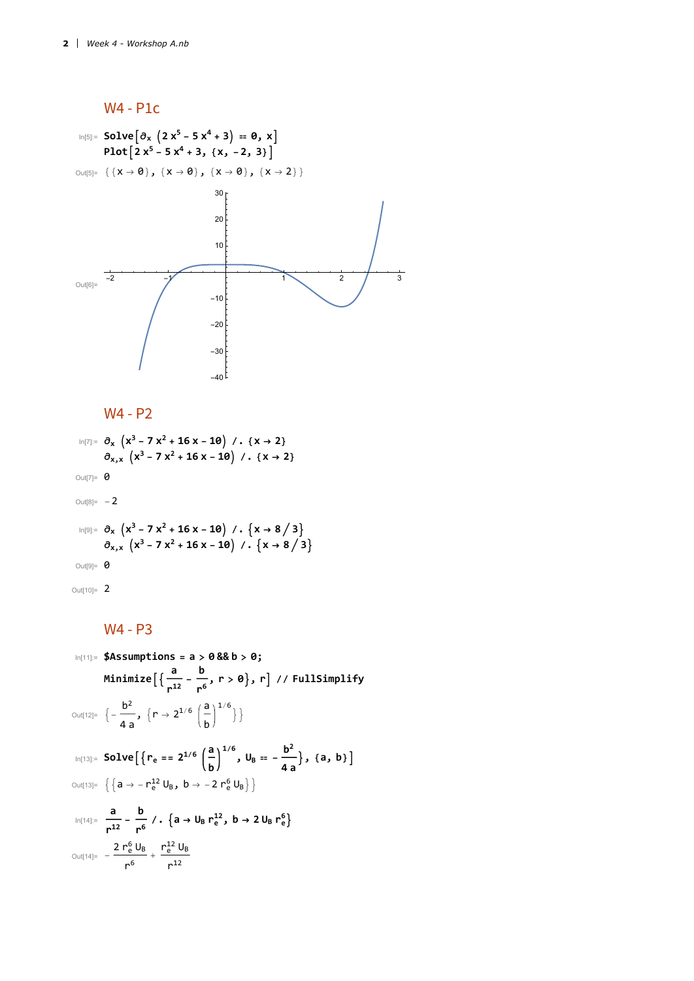

W4 - P2

 $\ln[T]$ :=  $\partial_x$   $\left(x^3 - 7x^2 + 16x - 10\right)$  / **.**  $\left\{x \to 2\right\}$  $\partial_{x,x}$   $(x^3 - 7x^2 + 16x - 10)$  /**.**  $\{x \rightarrow 2\}$ Out[7]=  $\theta$ Out<br>[8]=  $\hskip 10pt -\hskip 10pt 2$ 

$$
\begin{array}{c}\n\log_{|x|} \partial_x \left( x^3 - 7 x^2 + 16 x - 10 \right) / . \left\{ x \to 8 / 3 \right\} \\
\partial_{x,x} \left( x^3 - 7 x^2 + 16 x - 10 \right) / . \left\{ x \to 8 / 3 \right\} \\
\text{Out[9]} = 0\n\end{array}
$$

Out[10]= 2

### W4 - P3

$$
\ln[11] = \$Assumptions = a > 0 \& b > 0;
$$
\n
$$
\text{Minimize} \left[ \left\{ \frac{a}{r^{12}} - \frac{b}{r^6}, r > 0 \right\}, r \right] / / \text{ FullSimplify}
$$
\n
$$
\text{Out[12]} = \left\{ -\frac{b^2}{4a}, \left\{ r \to 2^{1/6} \left( \frac{a}{b} \right)^{1/6} \right\} \right\}
$$
\n
$$
\text{In[13]} = \text{Solve} \left[ \left\{ r_e = 2^{1/6} \left( \frac{a}{b} \right)^{1/6}, U_B = -\frac{b^2}{4a} \right\}, \{a, b\} \right]
$$
\n
$$
\text{Out[13]} = \left\{ \left\{ a \to -r_e^{12} U_B, b \to -2 \, r_e^6 U_B \right\} \right\}
$$
\n
$$
\text{In[14]} = \frac{a}{r^{12}} - \frac{b}{r^6} / . \left\{ a \to U_B \, r_e^{12}, b \to 2 \, U_B \, r_e^6 \right\}
$$
\n
$$
\text{Out[14]} = -\frac{2 \, r_e^6 \, U_B}{r^6} + \frac{r_e^{12} \, U_B}{r^{12}}
$$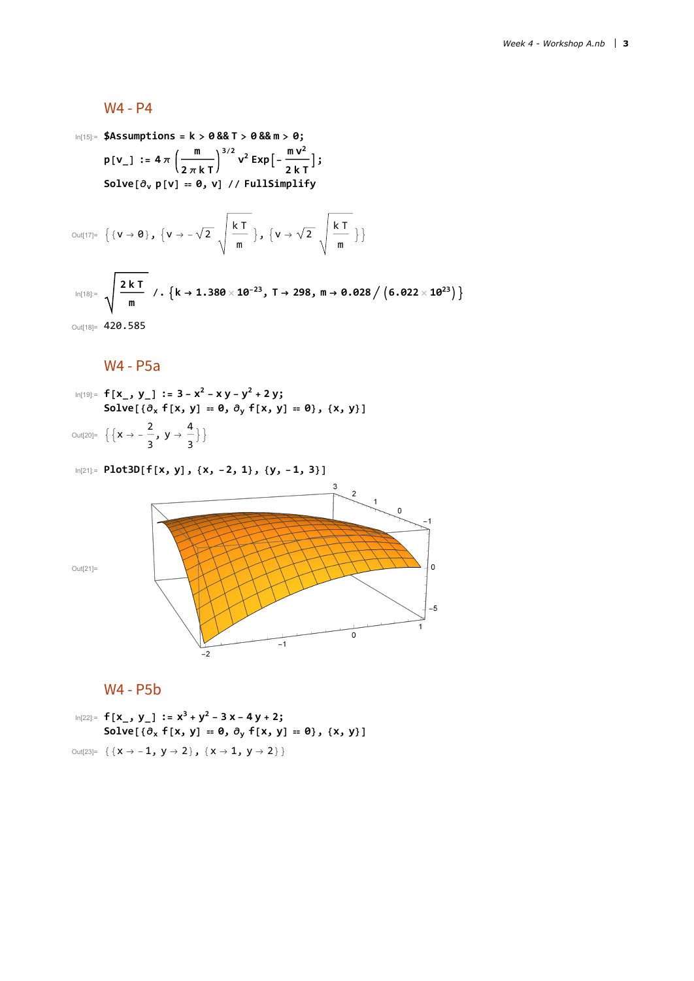#### W4 - P4

In[15]:= **\$Assumptions = k > 0 && T > 0 && m > 0; <sup>p</sup>[v\_] :<sup>=</sup> <sup>4</sup> <sup>π</sup> <sup>m</sup> 2 π k T**  $V^2$  **Exp** $\left[-\frac{m V^2}{2 k T}\right]$ ;  $Solve[\partial_v p[v] = 0, v]$  //  $FullSimplify$ 

$$
\text{Out[17]= }\left\{\{v \to 0\}, \ \left\{v \to -\sqrt{2} \ \sqrt{\frac{k \ T}{m}}\right\}, \ \left\{v \to \sqrt{2} \ \sqrt{\frac{k \ T}{m}}\right\}\right\}
$$
\n
$$
\text{In[18]= }\sqrt{\frac{2 k \ T}{m}} \ / \ . \ \left\{k \to 1.380 \times 10^{-23}, \ T \to 298, \ m \to 0.028 \ / \left(6.022 \times 10^{23}\right)\right\}
$$
\n
$$
\text{Out[18]= } 420.585
$$

W4 - P5a

$$
\text{In}[19] = f[x_., y_'] := 3 - x^2 - xy - y^2 + 2y; \quad \text{Solve} \left[ \left\{ \partial_x f[x, y] = \theta, \partial_y f[x, y] = \theta \right\}, \{x, y\} \right]
$$
\n
$$
\text{Out}[20] = \left\{ \left\{ x \rightarrow -\frac{2}{3}, y \rightarrow \frac{4}{3} \right\} \right\}
$$





## W4 - P5b

In [22]:= 
$$
f[x_., y_]
$$
 :=  $x^3 + y^2 - 3x - 4y + 2$ ;  
\nSolve  $[\{\partial_x f[x, y] = 0, \partial_y f[x, y] = 0\}, \{x, y\}]$   
\nOut [23]: = { $(x \rightarrow -1, y \rightarrow 2), \{x \rightarrow 1, y \rightarrow 2\}$ }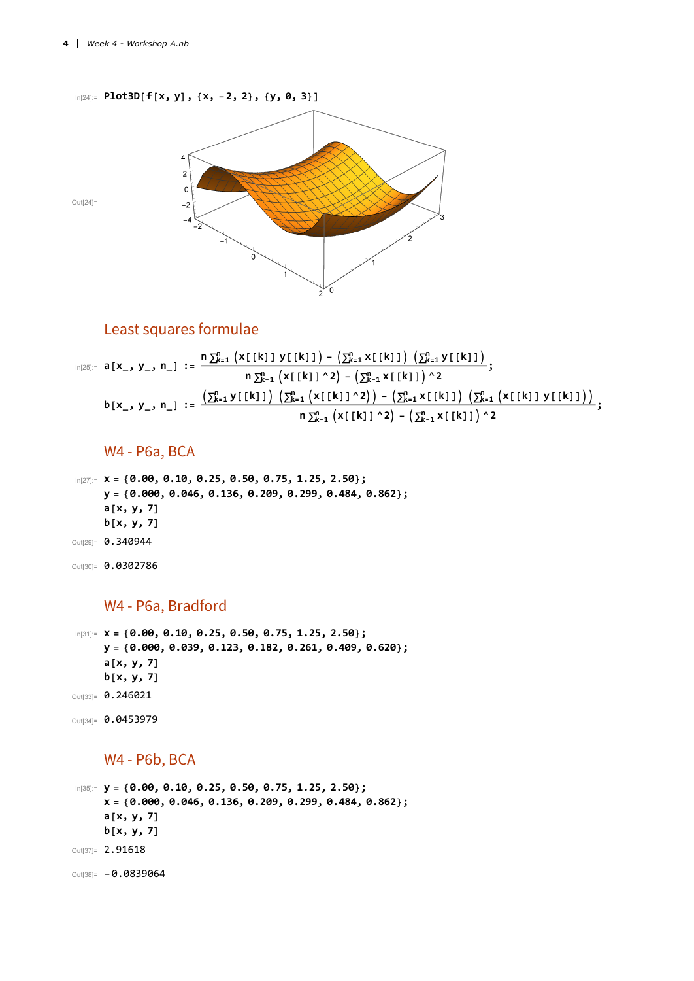

## Least squares formulae

$$
b[x_-, y_-, n_]] := \frac{n \sum_{k=1}^{n} (x[[k]] y[[k]]) - (\sum_{k=1}^{n} x[[k]])(\sum_{k=1}^{n} y[[k]])}{n \sum_{k=1}^{n} (x[[k]]^2) - (\sum_{k=1}^{n} x[[k]])^2} ;
$$
  

$$
b[x_-, y_-, n_]] := \frac{(\sum_{k=1}^{n} y[[k]])(\sum_{k=1}^{n} (x[[k]]^2)) - (\sum_{k=1}^{n} x[[k]])(\sum_{k=1}^{n} (x[[k]] y[[k]])))}{n \sum_{k=1}^{n} (x[[k]]^2) - (\sum_{k=1}^{n} x[[k]])^2} ;
$$

### W4 - P6a, BCA

In[27]:= **x = {0.00, 0.10, 0.25, 0.50, 0.75, 1.25, 2.50}; y = {0.000, 0.046, 0.136, 0.209, 0.299, 0.484, 0.862}; a[x, y, 7] b[x, y, 7]** Out[29]= 0.340944 Out[30]= 0.0302786

#### W4 - P6a, Bradford

In[31]:= **x = {0.00, 0.10, 0.25, 0.50, 0.75, 1.25, 2.50}; y = {0.000, 0.039, 0.123, 0.182, 0.261, 0.409, 0.620}; a[x, y, 7] b[x, y, 7]** Out[33]= 0.246021

```
Out<sup>[34]=</sup> 0.0453979
```
#### W4 - P6b, BCA

In[35]:= **y = {0.00, 0.10, 0.25, 0.50, 0.75, 1.25, 2.50}; x = {0.000, 0.046, 0.136, 0.209, 0.299, 0.484, 0.862}; a[x, y, 7] b[x, y, 7]** Out<sup>[37]=</sup> 2.91618  $Out[38] = -0.0839064$